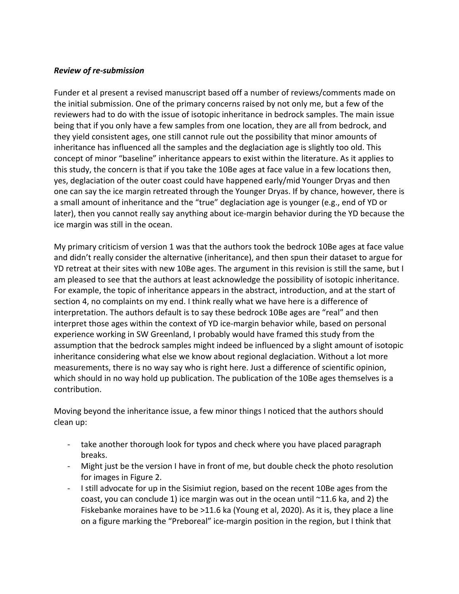## *Review of re-submission*

Funder et al present a revised manuscript based off a number of reviews/comments made on the initial submission. One of the primary concerns raised by not only me, but a few of the reviewers had to do with the issue of isotopic inheritance in bedrock samples. The main issue being that if you only have a few samples from one location, they are all from bedrock, and they yield consistent ages, one still cannot rule out the possibility that minor amounts of inheritance has influenced all the samples and the deglaciation age is slightly too old. This concept of minor "baseline" inheritance appears to exist within the literature. As it applies to this study, the concern is that if you take the 10Be ages at face value in a few locations then, yes, deglaciation of the outer coast could have happened early/mid Younger Dryas and then one can say the ice margin retreated through the Younger Dryas. If by chance, however, there is a small amount of inheritance and the "true" deglaciation age is younger (e.g., end of YD or later), then you cannot really say anything about ice-margin behavior during the YD because the ice margin was still in the ocean.

My primary criticism of version 1 was that the authors took the bedrock 10Be ages at face value and didn't really consider the alternative (inheritance), and then spun their dataset to argue for YD retreat at their sites with new 10Be ages. The argument in this revision is still the same, but I am pleased to see that the authors at least acknowledge the possibility of isotopic inheritance. For example, the topic of inheritance appears in the abstract, introduction, and at the start of section 4, no complaints on my end. I think really what we have here is a difference of interpretation. The authors default is to say these bedrock 10Be ages are "real" and then interpret those ages within the context of YD ice-margin behavior while, based on personal experience working in SW Greenland, I probably would have framed this study from the assumption that the bedrock samples might indeed be influenced by a slight amount of isotopic inheritance considering what else we know about regional deglaciation. Without a lot more measurements, there is no way say who is right here. Just a difference of scientific opinion, which should in no way hold up publication. The publication of the 10Be ages themselves is a contribution.

Moving beyond the inheritance issue, a few minor things I noticed that the authors should clean up:

- take another thorough look for typos and check where you have placed paragraph breaks.
- Might just be the version I have in front of me, but double check the photo resolution for images in Figure 2.
- I still advocate for up in the Sisimiut region, based on the recent 10Be ages from the coast, you can conclude 1) ice margin was out in the ocean until ~11.6 ka, and 2) the Fiskebanke moraines have to be >11.6 ka (Young et al, 2020). As it is, they place a line on a figure marking the "Preboreal" ice-margin position in the region, but I think that